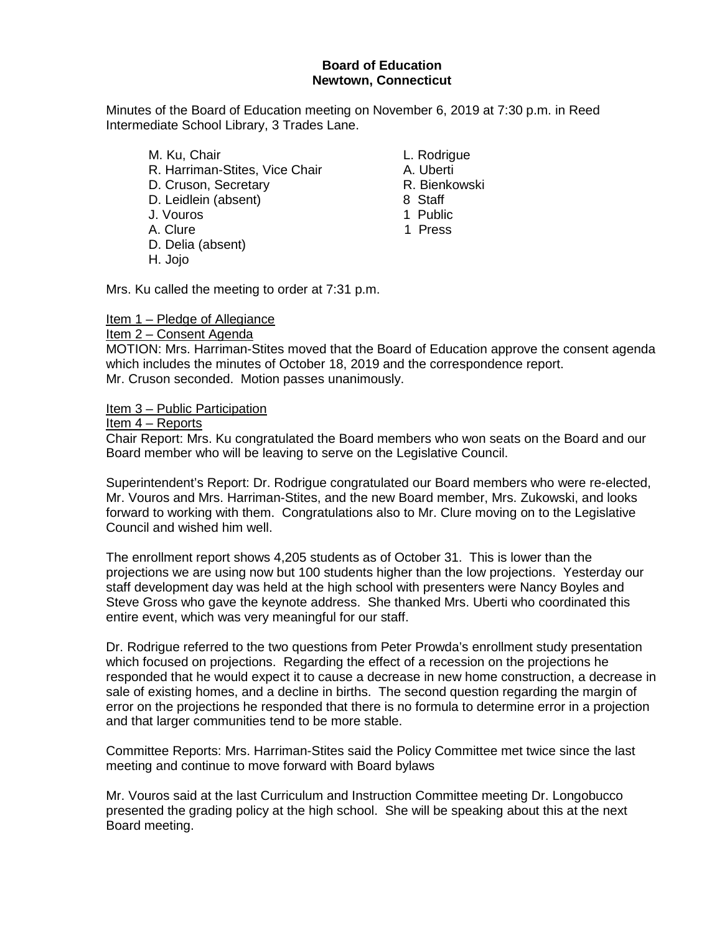#### **Board of Education Newtown, Connecticut**

Minutes of the Board of Education meeting on November 6, 2019 at 7:30 p.m. in Reed Intermediate School Library, 3 Trades Lane.

- M. Ku, Chair **L. Rodrigue** R. Harriman-Stites, Vice Chair **A. Uberti** D. Cruson, Secretary **R. Bienkowski** D. Leidlein (absent) 8 Staff J. Vouros 1 Public A. Clure 1 Press D. Delia (absent)
- H. Jojo

- 
- 
- 
- 
- 

Mrs. Ku called the meeting to order at 7:31 p.m.

#### Item 1 – Pledge of Allegiance

#### Item 2 – Consent Agenda

MOTION: Mrs. Harriman-Stites moved that the Board of Education approve the consent agenda which includes the minutes of October 18, 2019 and the correspondence report. Mr. Cruson seconded. Motion passes unanimously.

Item 3 – Public Participation

Item 4 – Reports

Chair Report: Mrs. Ku congratulated the Board members who won seats on the Board and our Board member who will be leaving to serve on the Legislative Council.

Superintendent's Report: Dr. Rodrigue congratulated our Board members who were re-elected, Mr. Vouros and Mrs. Harriman-Stites, and the new Board member, Mrs. Zukowski, and looks forward to working with them. Congratulations also to Mr. Clure moving on to the Legislative Council and wished him well.

The enrollment report shows 4,205 students as of October 31. This is lower than the projections we are using now but 100 students higher than the low projections. Yesterday our staff development day was held at the high school with presenters were Nancy Boyles and Steve Gross who gave the keynote address. She thanked Mrs. Uberti who coordinated this entire event, which was very meaningful for our staff.

Dr. Rodrigue referred to the two questions from Peter Prowda's enrollment study presentation which focused on projections. Regarding the effect of a recession on the projections he responded that he would expect it to cause a decrease in new home construction, a decrease in sale of existing homes, and a decline in births. The second question regarding the margin of error on the projections he responded that there is no formula to determine error in a projection and that larger communities tend to be more stable.

Committee Reports: Mrs. Harriman-Stites said the Policy Committee met twice since the last meeting and continue to move forward with Board bylaws

Mr. Vouros said at the last Curriculum and Instruction Committee meeting Dr. Longobucco presented the grading policy at the high school. She will be speaking about this at the next Board meeting.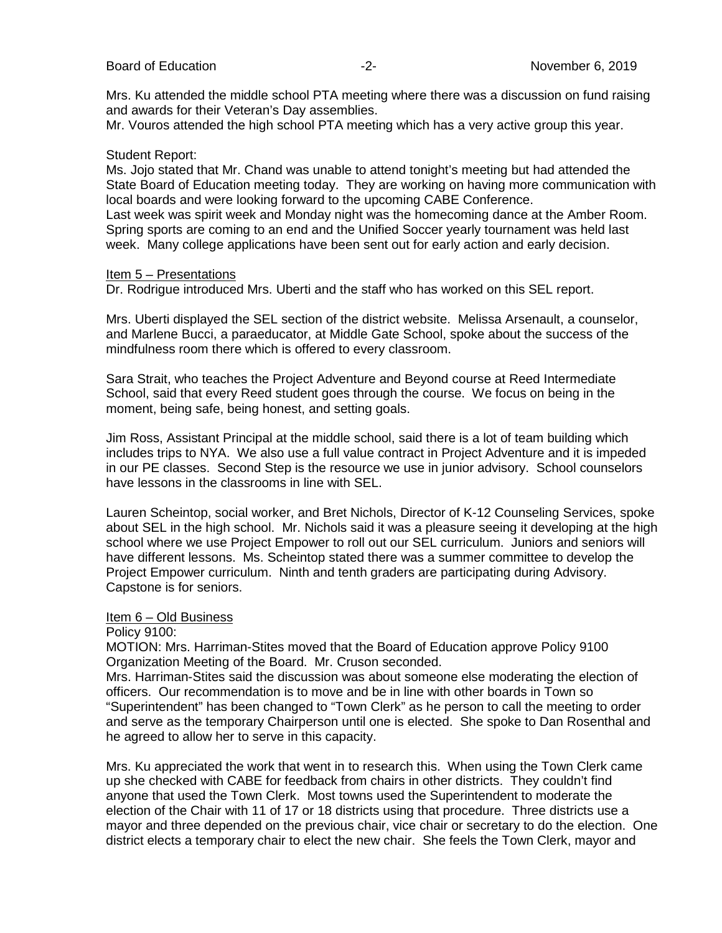Mrs. Ku attended the middle school PTA meeting where there was a discussion on fund raising and awards for their Veteran's Day assemblies.

Mr. Vouros attended the high school PTA meeting which has a very active group this year.

#### Student Report:

Ms. Jojo stated that Mr. Chand was unable to attend tonight's meeting but had attended the State Board of Education meeting today. They are working on having more communication with local boards and were looking forward to the upcoming CABE Conference.

Last week was spirit week and Monday night was the homecoming dance at the Amber Room. Spring sports are coming to an end and the Unified Soccer yearly tournament was held last week. Many college applications have been sent out for early action and early decision.

#### Item 5 – Presentations

Dr. Rodrigue introduced Mrs. Uberti and the staff who has worked on this SEL report.

Mrs. Uberti displayed the SEL section of the district website. Melissa Arsenault, a counselor, and Marlene Bucci, a paraeducator, at Middle Gate School, spoke about the success of the mindfulness room there which is offered to every classroom.

Sara Strait, who teaches the Project Adventure and Beyond course at Reed Intermediate School, said that every Reed student goes through the course. We focus on being in the moment, being safe, being honest, and setting goals.

Jim Ross, Assistant Principal at the middle school, said there is a lot of team building which includes trips to NYA. We also use a full value contract in Project Adventure and it is impeded in our PE classes. Second Step is the resource we use in junior advisory. School counselors have lessons in the classrooms in line with SEL.

Lauren Scheintop, social worker, and Bret Nichols, Director of K-12 Counseling Services, spoke about SEL in the high school. Mr. Nichols said it was a pleasure seeing it developing at the high school where we use Project Empower to roll out our SEL curriculum. Juniors and seniors will have different lessons. Ms. Scheintop stated there was a summer committee to develop the Project Empower curriculum. Ninth and tenth graders are participating during Advisory. Capstone is for seniors.

### Item 6 – Old Business

Policy 9100:

MOTION: Mrs. Harriman-Stites moved that the Board of Education approve Policy 9100 Organization Meeting of the Board. Mr. Cruson seconded.

Mrs. Harriman-Stites said the discussion was about someone else moderating the election of officers. Our recommendation is to move and be in line with other boards in Town so "Superintendent" has been changed to "Town Clerk" as he person to call the meeting to order and serve as the temporary Chairperson until one is elected. She spoke to Dan Rosenthal and he agreed to allow her to serve in this capacity.

Mrs. Ku appreciated the work that went in to research this. When using the Town Clerk came up she checked with CABE for feedback from chairs in other districts. They couldn't find anyone that used the Town Clerk. Most towns used the Superintendent to moderate the election of the Chair with 11 of 17 or 18 districts using that procedure. Three districts use a mayor and three depended on the previous chair, vice chair or secretary to do the election. One district elects a temporary chair to elect the new chair. She feels the Town Clerk, mayor and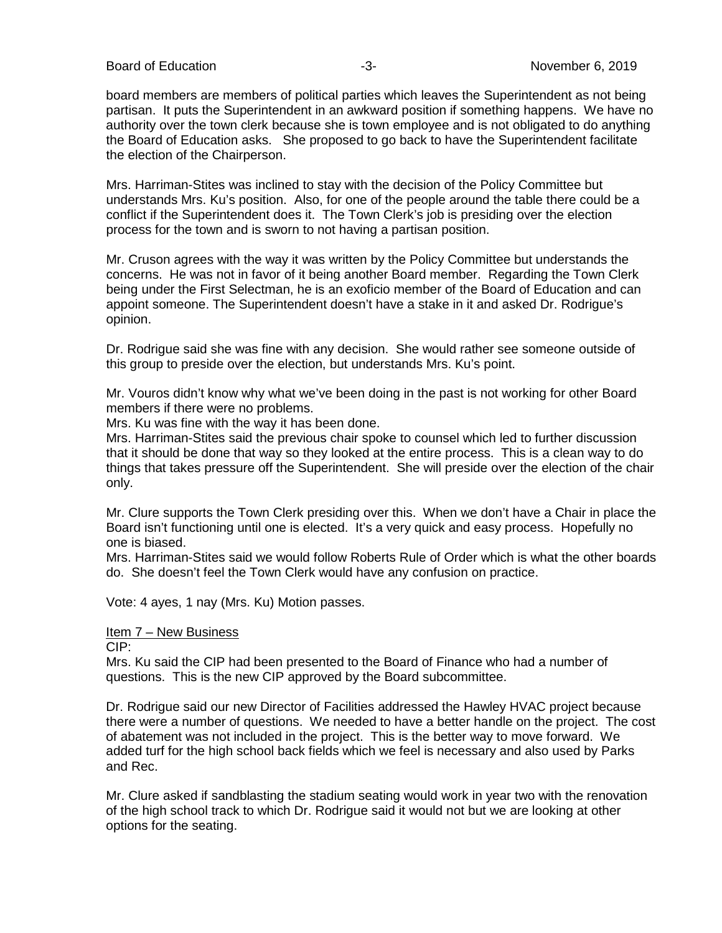Board of Education **-2-** All the state of the state of the November 6, 2019

board members are members of political parties which leaves the Superintendent as not being partisan. It puts the Superintendent in an awkward position if something happens. We have no authority over the town clerk because she is town employee and is not obligated to do anything the Board of Education asks. She proposed to go back to have the Superintendent facilitate the election of the Chairperson.

Mrs. Harriman-Stites was inclined to stay with the decision of the Policy Committee but understands Mrs. Ku's position. Also, for one of the people around the table there could be a conflict if the Superintendent does it. The Town Clerk's job is presiding over the election process for the town and is sworn to not having a partisan position.

Mr. Cruson agrees with the way it was written by the Policy Committee but understands the concerns. He was not in favor of it being another Board member. Regarding the Town Clerk being under the First Selectman, he is an exoficio member of the Board of Education and can appoint someone. The Superintendent doesn't have a stake in it and asked Dr. Rodrigue's opinion.

Dr. Rodrigue said she was fine with any decision. She would rather see someone outside of this group to preside over the election, but understands Mrs. Ku's point.

Mr. Vouros didn't know why what we've been doing in the past is not working for other Board members if there were no problems.

Mrs. Ku was fine with the way it has been done.

Mrs. Harriman-Stites said the previous chair spoke to counsel which led to further discussion that it should be done that way so they looked at the entire process. This is a clean way to do things that takes pressure off the Superintendent. She will preside over the election of the chair only.

Mr. Clure supports the Town Clerk presiding over this. When we don't have a Chair in place the Board isn't functioning until one is elected. It's a very quick and easy process. Hopefully no one is biased.

Mrs. Harriman-Stites said we would follow Roberts Rule of Order which is what the other boards do. She doesn't feel the Town Clerk would have any confusion on practice.

Vote: 4 ayes, 1 nay (Mrs. Ku) Motion passes.

#### Item 7 – New Business

CIP:

Mrs. Ku said the CIP had been presented to the Board of Finance who had a number of questions. This is the new CIP approved by the Board subcommittee.

Dr. Rodrigue said our new Director of Facilities addressed the Hawley HVAC project because there were a number of questions. We needed to have a better handle on the project. The cost of abatement was not included in the project. This is the better way to move forward. We added turf for the high school back fields which we feel is necessary and also used by Parks and Rec.

Mr. Clure asked if sandblasting the stadium seating would work in year two with the renovation of the high school track to which Dr. Rodrigue said it would not but we are looking at other options for the seating.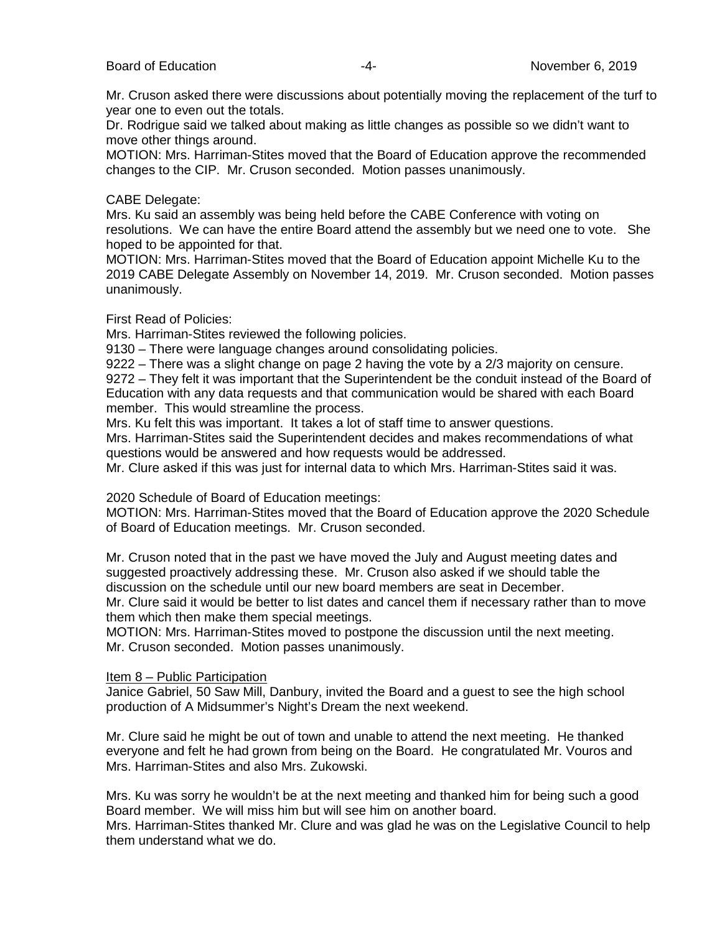Mr. Cruson asked there were discussions about potentially moving the replacement of the turf to year one to even out the totals.

Dr. Rodrigue said we talked about making as little changes as possible so we didn't want to move other things around.

MOTION: Mrs. Harriman-Stites moved that the Board of Education approve the recommended changes to the CIP. Mr. Cruson seconded. Motion passes unanimously.

#### CABE Delegate:

Mrs. Ku said an assembly was being held before the CABE Conference with voting on resolutions. We can have the entire Board attend the assembly but we need one to vote. She hoped to be appointed for that.

MOTION: Mrs. Harriman-Stites moved that the Board of Education appoint Michelle Ku to the 2019 CABE Delegate Assembly on November 14, 2019. Mr. Cruson seconded. Motion passes unanimously.

#### First Read of Policies:

Mrs. Harriman-Stites reviewed the following policies.

9130 – There were language changes around consolidating policies.

9222 – There was a slight change on page 2 having the vote by a 2/3 majority on censure. 9272 – They felt it was important that the Superintendent be the conduit instead of the Board of Education with any data requests and that communication would be shared with each Board member. This would streamline the process.

Mrs. Ku felt this was important. It takes a lot of staff time to answer questions.

Mrs. Harriman-Stites said the Superintendent decides and makes recommendations of what questions would be answered and how requests would be addressed.

Mr. Clure asked if this was just for internal data to which Mrs. Harriman-Stites said it was.

2020 Schedule of Board of Education meetings:

MOTION: Mrs. Harriman-Stites moved that the Board of Education approve the 2020 Schedule of Board of Education meetings. Mr. Cruson seconded.

Mr. Cruson noted that in the past we have moved the July and August meeting dates and suggested proactively addressing these. Mr. Cruson also asked if we should table the discussion on the schedule until our new board members are seat in December.

Mr. Clure said it would be better to list dates and cancel them if necessary rather than to move them which then make them special meetings.

MOTION: Mrs. Harriman-Stites moved to postpone the discussion until the next meeting. Mr. Cruson seconded. Motion passes unanimously.

#### Item 8 – Public Participation

Janice Gabriel, 50 Saw Mill, Danbury, invited the Board and a guest to see the high school production of A Midsummer's Night's Dream the next weekend.

Mr. Clure said he might be out of town and unable to attend the next meeting. He thanked everyone and felt he had grown from being on the Board. He congratulated Mr. Vouros and Mrs. Harriman-Stites and also Mrs. Zukowski.

Mrs. Ku was sorry he wouldn't be at the next meeting and thanked him for being such a good Board member. We will miss him but will see him on another board.

Mrs. Harriman-Stites thanked Mr. Clure and was glad he was on the Legislative Council to help them understand what we do.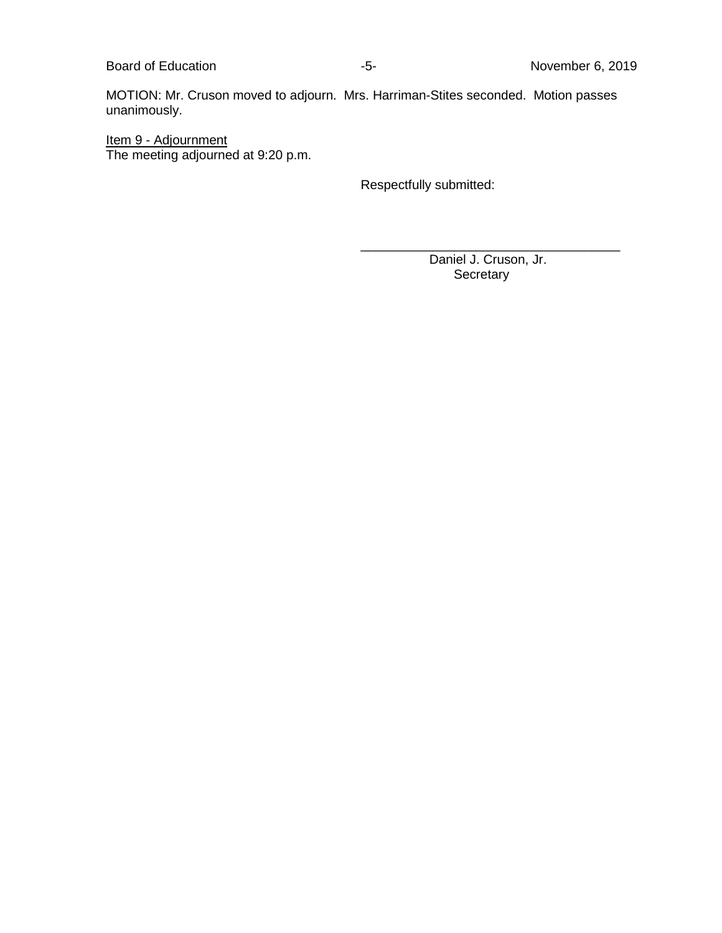Board of Education **Contact Education** 15- Section 10 and 2019 10 and 2019

MOTION: Mr. Cruson moved to adjourn. Mrs. Harriman-Stites seconded. Motion passes unanimously.

Item 9 - Adjournment The meeting adjourned at 9:20 p.m.

Respectfully submitted:

\_\_\_\_\_\_\_\_\_\_\_\_\_\_\_\_\_\_\_\_\_\_\_\_\_\_\_\_\_\_\_\_\_\_\_\_ Daniel J. Cruson, Jr. **Secretary**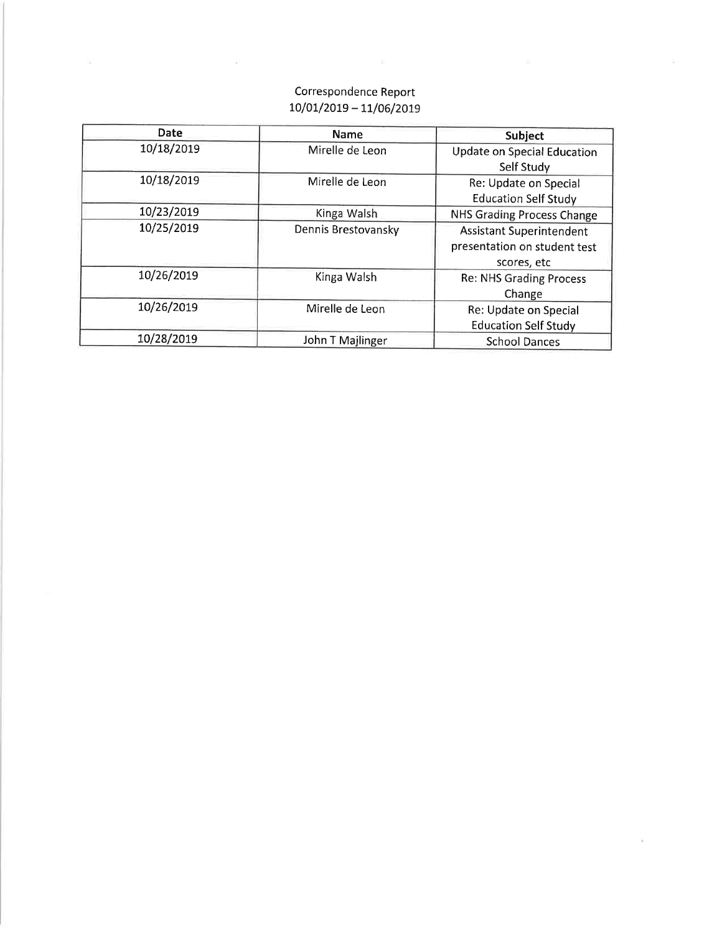## Correspondence Report  $10/01/2019 - 11/06/2019$

×.

 $\sim 10$ 

 $\widetilde{\mathcal{A}}$ 

| Date       | <b>Name</b>         | Subject                                                                        |
|------------|---------------------|--------------------------------------------------------------------------------|
| 10/18/2019 | Mirelle de Leon     | Update on Special Education<br>Self Study                                      |
| 10/18/2019 | Mirelle de Leon     | Re: Update on Special<br><b>Education Self Study</b>                           |
| 10/23/2019 | Kinga Walsh         | NHS Grading Process Change                                                     |
| 10/25/2019 | Dennis Brestovansky | <b>Assistant Superintendent</b><br>presentation on student test<br>scores, etc |
| 10/26/2019 | Kinga Walsh         | <b>Re: NHS Grading Process</b><br>Change                                       |
| 10/26/2019 | Mirelle de Leon     | Re: Update on Special<br><b>Education Self Study</b>                           |
| 10/28/2019 | John T Majlinger    | <b>School Dances</b>                                                           |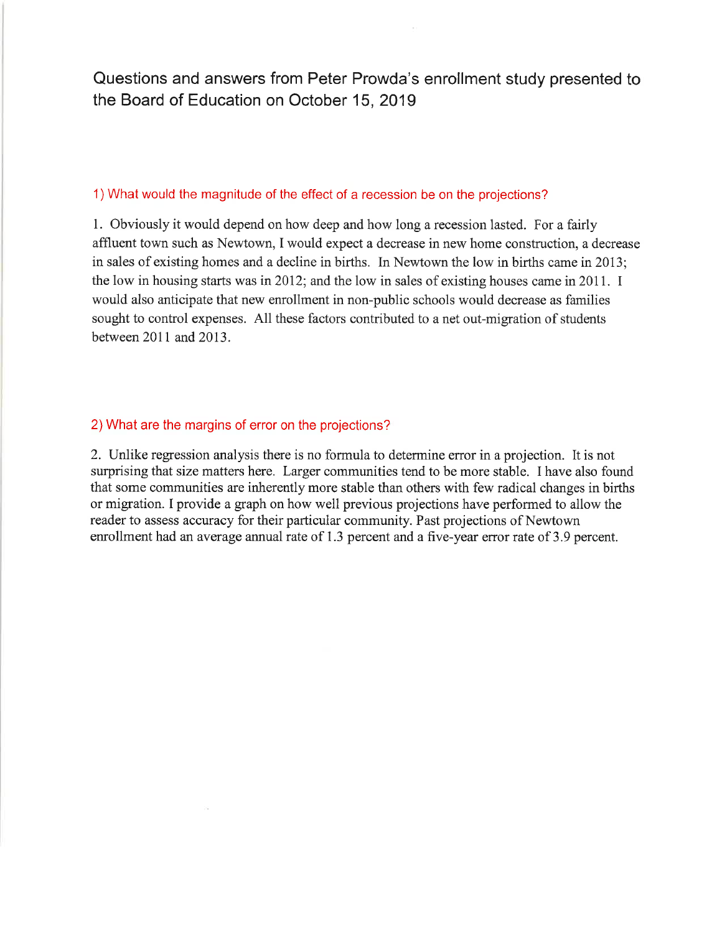Questions and answers from Peter Prowda's enrollment study presented to the Board of Education on October 15, 2019

#### 1) What would the magnitude of the effect of a recession be on the projections?

1. Obviously it would depend on how deep and how long a recession lasted. For a fairly affluent town such as Newtown, I would expect a decrease in new home construction, a decrease in sales of existing homes and a decline in births. In Newtown the low in births came in 2013; the low in housing starts was in 2012; and the low in sales of existing houses came in 2011. I would also anticipate that new enrollment in non-public schools would decrease as families sought to control expenses. All these factors contributed to a net out-migration of students between 2011 and 2013.

#### 2) What are the margins of error on the projections?

 $\mathcal{N}_\mathbf{R}$ 

2. Unlike regression analysis there is no formula to determine error in a projection. It is not surprising that size matters here. Larger communities tend to be more stable. I have also found that some communities are inherently more stable than others with few radical changes in births or migration. I provide a graph on how well previous projections have performed to allow the reader to assess accuracy for their particular community. Past projections of Newtown enrollment had an average annual rate of 1.3 percent and a five-year error rate of 3.9 percent.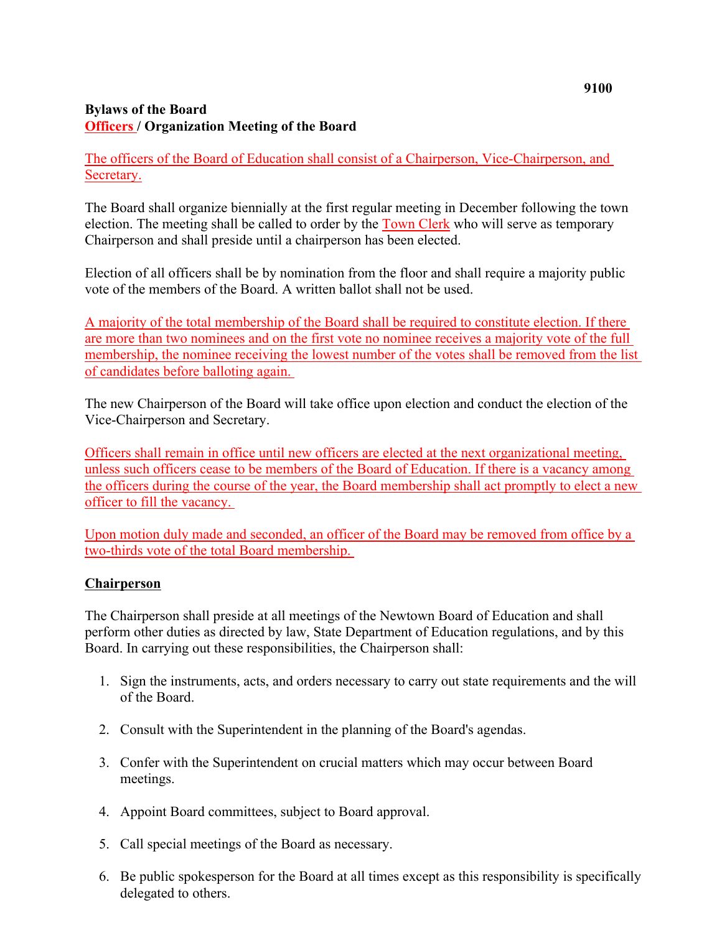## **Bylaws of the Board Officers / Organization Meeting of the Board**

The officers of the Board of Education shall consist of a Chairperson, Vice-Chairperson, and Secretary.

The Board shall organize biennially at the first regular meeting in December following the town election. The meeting shall be called to order by the Town Clerk who will serve as temporary Chairperson and shall preside until a chairperson has been elected.

Election of all officers shall be by nomination from the floor and shall require a majority public vote of the members of the Board. A written ballot shall not be used.

A majority of the total membership of the Board shall be required to constitute election. If there are more than two nominees and on the first vote no nominee receives a majority vote of the full membership, the nominee receiving the lowest number of the votes shall be removed from the list of candidates before balloting again.

The new Chairperson of the Board will take office upon election and conduct the election of the Vice-Chairperson and Secretary.

Officers shall remain in office until new officers are elected at the next organizational meeting, unless such officers cease to be members of the Board of Education. If there is a vacancy among the officers during the course of the year, the Board membership shall act promptly to elect a new officer to fill the vacancy.

Upon motion duly made and seconded, an officer of the Board may be removed from office by a two-thirds vote of the total Board membership.

## **Chairperson**

The Chairperson shall preside at all meetings of the Newtown Board of Education and shall perform other duties as directed by law, State Department of Education regulations, and by this Board. In carrying out these responsibilities, the Chairperson shall:

- 1. Sign the instruments, acts, and orders necessary to carry out state requirements and the will of the Board.
- 2. Consult with the Superintendent in the planning of the Board's agendas.
- 3. Confer with the Superintendent on crucial matters which may occur between Board meetings.
- 4. Appoint Board committees, subject to Board approval.
- 5. Call special meetings of the Board as necessary.
- 6. Be public spokesperson for the Board at all times except as this responsibility is specifically delegated to others.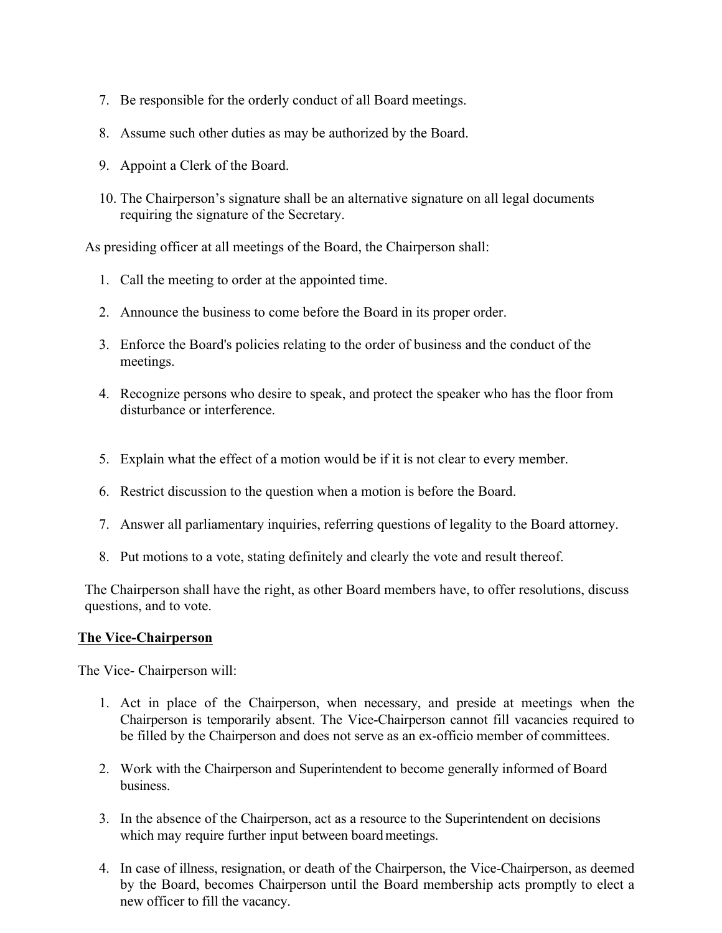- 7. Be responsible for the orderly conduct of all Board meetings.
- 8. Assume such other duties as may be authorized by the Board.
- 9. Appoint a Clerk of the Board.
- 10. The Chairperson's signature shall be an alternative signature on all legal documents requiring the signature of the Secretary.

As presiding officer at all meetings of the Board, the Chairperson shall:

- 1. Call the meeting to order at the appointed time.
- 2. Announce the business to come before the Board in its proper order.
- 3. Enforce the Board's policies relating to the order of business and the conduct of the meetings.
- 4. Recognize persons who desire to speak, and protect the speaker who has the floor from disturbance or interference.
- 5. Explain what the effect of a motion would be if it is not clear to every member.
- 6. Restrict discussion to the question when a motion is before the Board.
- 7. Answer all parliamentary inquiries, referring questions of legality to the Board attorney.
- 8. Put motions to a vote, stating definitely and clearly the vote and result thereof.

The Chairperson shall have the right, as other Board members have, to offer resolutions, discuss questions, and to vote.

### **The Vice-Chairperson**

The Vice- Chairperson will:

- 1. Act in place of the Chairperson, when necessary, and preside at meetings when the Chairperson is temporarily absent. The Vice-Chairperson cannot fill vacancies required to be filled by the Chairperson and does not serve as an ex-officio member of committees.
- 2. Work with the Chairperson and Superintendent to become generally informed of Board business.
- 3. In the absence of the Chairperson, act as a resource to the Superintendent on decisions which may require further input between board meetings.
- 4. In case of illness, resignation, or death of the Chairperson, the Vice-Chairperson, as deemed by the Board, becomes Chairperson until the Board membership acts promptly to elect a new officer to fill the vacancy.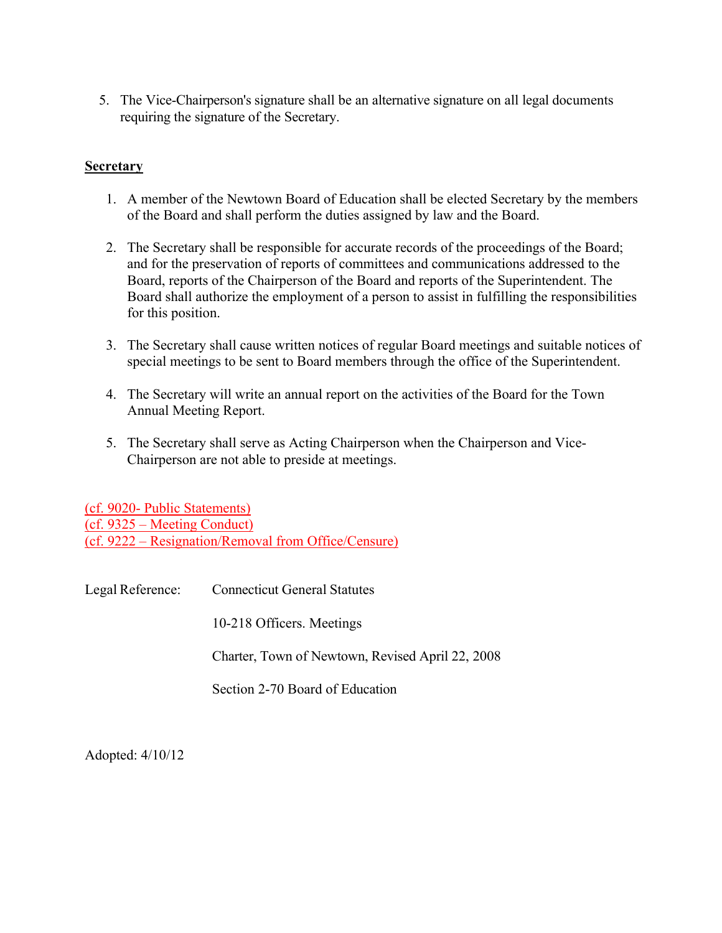5. The Vice-Chairperson's signature shall be an alternative signature on all legal documents requiring the signature of the Secretary.

## **Secretary**

- 1. A member of the Newtown Board of Education shall be elected Secretary by the members of the Board and shall perform the duties assigned by law and the Board.
- 2. The Secretary shall be responsible for accurate records of the proceedings of the Board; and for the preservation of reports of committees and communications addressed to the Board, reports of the Chairperson of the Board and reports of the Superintendent. The Board shall authorize the employment of a person to assist in fulfilling the responsibilities for this position.
- 3. The Secretary shall cause written notices of regular Board meetings and suitable notices of special meetings to be sent to Board members through the office of the Superintendent.
- 4. The Secretary will write an annual report on the activities of the Board for the Town Annual Meeting Report.
- 5. The Secretary shall serve as Acting Chairperson when the Chairperson and Vice-Chairperson are not able to preside at meetings.

(cf. 9020- Public Statements) (cf. 9325 – Meeting Conduct) (cf. 9222 – Resignation/Removal from Office/Censure)

Legal Reference: Connecticut General Statutes 10-218 Officers. Meetings Charter, Town of Newtown, Revised April 22, 2008 Section 2-70 Board of Education

Adopted: 4/10/12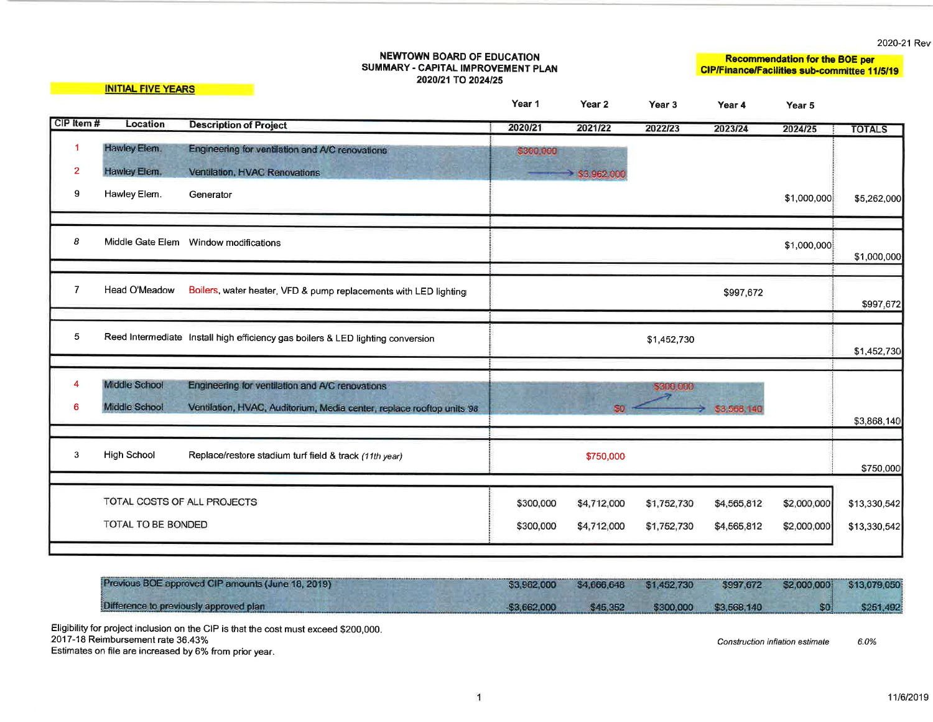2020-21 Rev

|                                       |                                                                                                                          | Year 1                                                                                                                                                                                                      | Year <sub>2</sub>                                                                      | Year 3  | Year 4                     | Year 5                                                 |                                                                                              |
|---------------------------------------|--------------------------------------------------------------------------------------------------------------------------|-------------------------------------------------------------------------------------------------------------------------------------------------------------------------------------------------------------|----------------------------------------------------------------------------------------|---------|----------------------------|--------------------------------------------------------|----------------------------------------------------------------------------------------------|
| Location                              | <b>Description of Project</b>                                                                                            | 2020/21                                                                                                                                                                                                     | 2021/22                                                                                | 2022/23 | 2023/24                    | 2024/25                                                | <b>TOTALS</b>                                                                                |
| Hawley Elem.                          | Engineering for ventilation and A/C renovations                                                                          | \$300,000                                                                                                                                                                                                   |                                                                                        |         |                            |                                                        |                                                                                              |
| Hawley Elem.                          | Ventilation, HVAC Renovations                                                                                            |                                                                                                                                                                                                             | $\geq$ \$3,962,000                                                                     |         |                            |                                                        |                                                                                              |
| Hawley Elem.                          | Generator                                                                                                                |                                                                                                                                                                                                             |                                                                                        |         |                            | \$1,000,000                                            | \$5,262,000                                                                                  |
|                                       |                                                                                                                          |                                                                                                                                                                                                             |                                                                                        |         |                            | \$1,000,000                                            |                                                                                              |
|                                       |                                                                                                                          |                                                                                                                                                                                                             |                                                                                        |         |                            |                                                        | \$1,000,000                                                                                  |
| Head O'Meadow                         | Boilers, water heater, VFD & pump replacements with LED lighting                                                         |                                                                                                                                                                                                             |                                                                                        |         | \$997,672                  |                                                        | \$997,672                                                                                    |
|                                       |                                                                                                                          |                                                                                                                                                                                                             |                                                                                        |         |                            |                                                        | \$1,452,730                                                                                  |
| Middle School<br><b>Middle School</b> | Engineering for ventilation and A/C renovations<br>Ventilation, HVAC, Auditorium, Media center, replace rooftop units 98 |                                                                                                                                                                                                             | 80                                                                                     |         | \$3,568,140                |                                                        | \$3,868,140                                                                                  |
|                                       |                                                                                                                          |                                                                                                                                                                                                             |                                                                                        |         |                            |                                                        |                                                                                              |
| <b>High School</b>                    | Replace/restore stadium turf field & track (11th year)                                                                   |                                                                                                                                                                                                             | \$750,000                                                                              |         |                            |                                                        | \$750,000                                                                                    |
|                                       |                                                                                                                          | \$300,000<br>\$300,000                                                                                                                                                                                      | \$4,712,000<br>\$4,712,000                                                             |         | \$4,565,812<br>\$4,565,812 | \$2,000,000<br>\$2,000,000                             | \$13,330,542<br>\$13,330,542                                                                 |
|                                       | CIP Item#                                                                                                                | <b>INITIAL FIVE YEARS</b><br>Middle Gate Elem  Window modifications<br>Reed Intermediate Install high efficiency gas boilers & LED lighting conversion<br>TOTAL COSTS OF ALL PROJECTS<br>TOTAL TO BE BONDED | NEWTOWN BOARD OF EDUCATION<br>SUMMARY - CAPITAL IMPROVEMENT PLAN<br>2020/21 TO 2024/25 |         |                            | \$1,452,730<br>\$300,000<br>\$1,752,730<br>\$1,752,730 | <b>Recommendation for the BOE per</b><br><b>CIP/Finance/Facilities sub-committee 11/5/19</b> |

| Previous BOE approved CIP amounts (June 18, 2019) | \$3,962,000   | \$4,666,648 | \$1,452,730 |                       | \$997,672 \$2,000,000 \$13,079,050 |           |
|---------------------------------------------------|---------------|-------------|-------------|-----------------------|------------------------------------|-----------|
| Difference to previously approved plan            | $-53,662,000$ | \$45,352    |             | \$300,000 \$3,568,140 |                                    | \$251,492 |

Eligibility for project inclusion on the CIP is that the cost must exceed \$200,000.<br>2017-18 Reimbursement rate 36.43% Estimates on file are increased by 6% from prior year.

Construction inflation estimate  $6.0\%$ 

 $\mathbf{1}$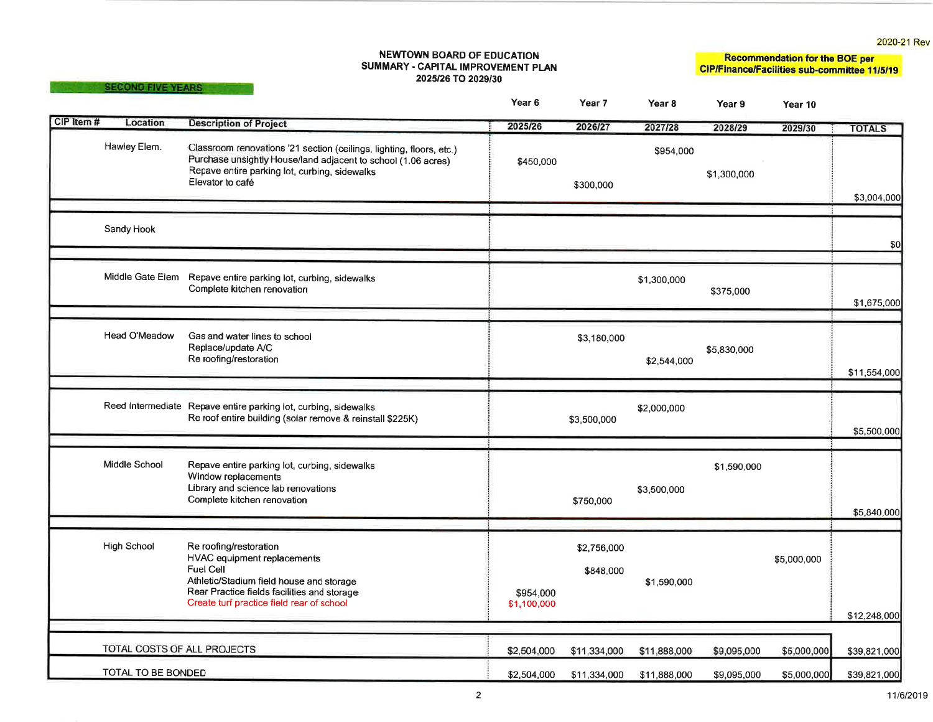2020-21 Rev

#### **NEWTOWN BOARD OF EDUCATION** SUMMARY - CAPITAL IMPROVEMENT PLAN 2025/26 TO 2029/30

SECOND FIVE YEARS

Recommendation for the BOE per<br>CIP/Finance/Facilities sub-committee 11/5/19

|            |                             |                                                                                                                                                                                                                   | Year <sub>6</sub>        | Year 7                   | Year <sub>8</sub> | Year 9      | Year 10     |               |
|------------|-----------------------------|-------------------------------------------------------------------------------------------------------------------------------------------------------------------------------------------------------------------|--------------------------|--------------------------|-------------------|-------------|-------------|---------------|
| CIP Item # | Location                    | <b>Description of Project</b>                                                                                                                                                                                     | 2025/26                  | 2026/27                  | 2027/28           | 2028/29     | 2029/30     | <b>TOTALS</b> |
|            | Hawley Elem.                | Classroom renovations '21 section (ceilings, lighting, floors, etc.)<br>Purchase unsightly House/land adjacent to school (1.06 acres)<br>Repave entire parking lot, curbing, sidewalks<br>Elevator to café        | \$450,000                | \$300,000                | \$954,000         | \$1,300,000 |             | \$3,004,000   |
|            | Sandy Hook                  |                                                                                                                                                                                                                   |                          |                          |                   |             |             | \$0           |
|            |                             | Middle Gate Elem Repave entire parking lot, curbing, sidewalks<br>Complete kitchen renovation                                                                                                                     |                          |                          | \$1,300,000       | \$375,000   |             | \$1,675,000   |
|            | Head O'Meadow               | Gas and water lines to school<br>Replace/update A/C<br>Re roofing/restoration                                                                                                                                     |                          | \$3,180,000              | \$2,544,000       | \$5,830,000 |             | \$11,554,000  |
|            |                             | Reed Intermediate Repave entire parking lot, curbing, sidewalks<br>Re roof entire building (solar remove & reinstall \$225K)                                                                                      |                          | \$3,500,000              | \$2,000,000       |             |             | \$5,500,000   |
|            | Middle School               | Repave entire parking lot, curbing, sidewalks<br>Window replacements<br>Library and science lab renovations<br>Complete kitchen renovation                                                                        |                          | \$750,000                | \$3,500,000       | \$1,590,000 |             | \$5,840,000   |
|            | <b>High School</b>          | Re roofing/restoration<br>HVAC equipment replacements<br><b>Fuel Cell</b><br>Athletic/Stadium field house and storage<br>Rear Practice fields facilities and storage<br>Create turf practice field rear of school | \$954,000<br>\$1,100,000 | \$2,756,000<br>\$848,000 | \$1,590,000       |             | \$5,000,000 | \$12,248,000  |
|            | TOTAL COSTS OF ALL PROJECTS |                                                                                                                                                                                                                   | \$2,504,000              | \$11,334,000             | \$11,888,000      | \$9,095,000 | \$5,000,000 | \$39,821,000  |
|            | TOTAL TO BE BONDED          |                                                                                                                                                                                                                   | \$2,504,000              | \$11,334,000             | \$11,888,000      | \$9,095,000 | \$5,000,000 | \$39,821,000  |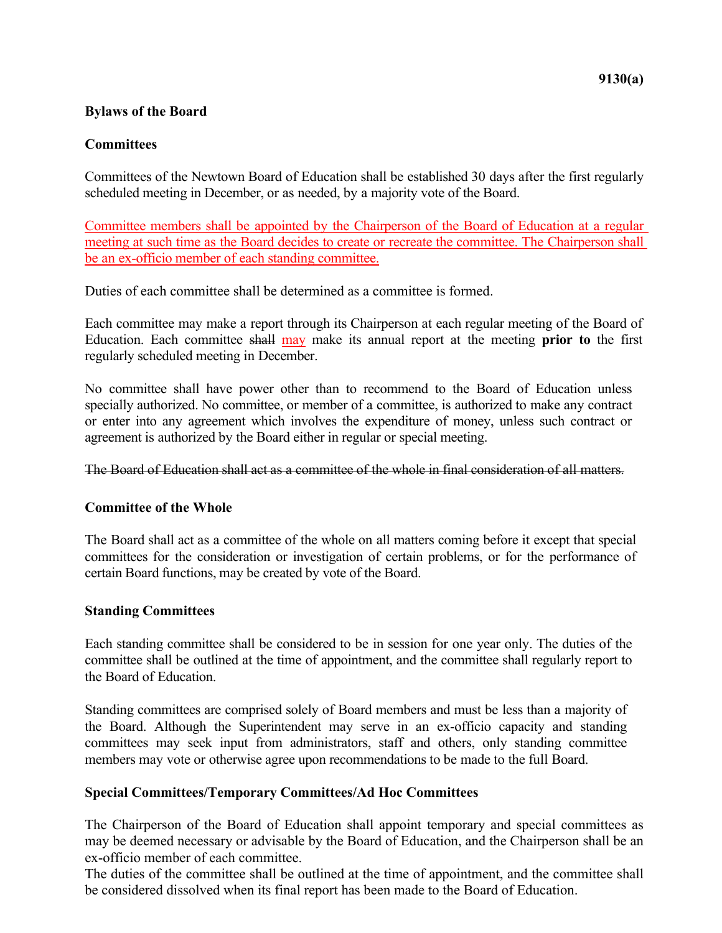### **Bylaws of the Board**

### **Committees**

Committees of the Newtown Board of Education shall be established 30 days after the first regularly scheduled meeting in December, or as needed, by a majority vote of the Board.

Committee members shall be appointed by the Chairperson of the Board of Education at a regular meeting at such time as the Board decides to create or recreate the committee. The Chairperson shall be an ex-officio member of each standing committee.

Duties of each committee shall be determined as a committee is formed.

Each committee may make a report through its Chairperson at each regular meeting of the Board of Education. Each committee shall may make its annual report at the meeting **prior to** the first regularly scheduled meeting in December.

No committee shall have power other than to recommend to the Board of Education unless specially authorized. No committee, or member of a committee, is authorized to make any contract or enter into any agreement which involves the expenditure of money, unless such contract or agreement is authorized by the Board either in regular or special meeting.

The Board of Education shall act as a committee of the whole in final consideration of all matters.

### **Committee of the Whole**

The Board shall act as a committee of the whole on all matters coming before it except that special committees for the consideration or investigation of certain problems, or for the performance of certain Board functions, may be created by vote of the Board.

### **Standing Committees**

Each standing committee shall be considered to be in session for one year only. The duties of the committee shall be outlined at the time of appointment, and the committee shall regularly report to the Board of Education.

Standing committees are comprised solely of Board members and must be less than a majority of the Board. Although the Superintendent may serve in an ex-officio capacity and standing committees may seek input from administrators, staff and others, only standing committee members may vote or otherwise agree upon recommendations to be made to the full Board.

### **Special Committees/Temporary Committees/Ad Hoc Committees**

The Chairperson of the Board of Education shall appoint temporary and special committees as may be deemed necessary or advisable by the Board of Education, and the Chairperson shall be an ex-officio member of each committee.

The duties of the committee shall be outlined at the time of appointment, and the committee shall be considered dissolved when its final report has been made to the Board of Education.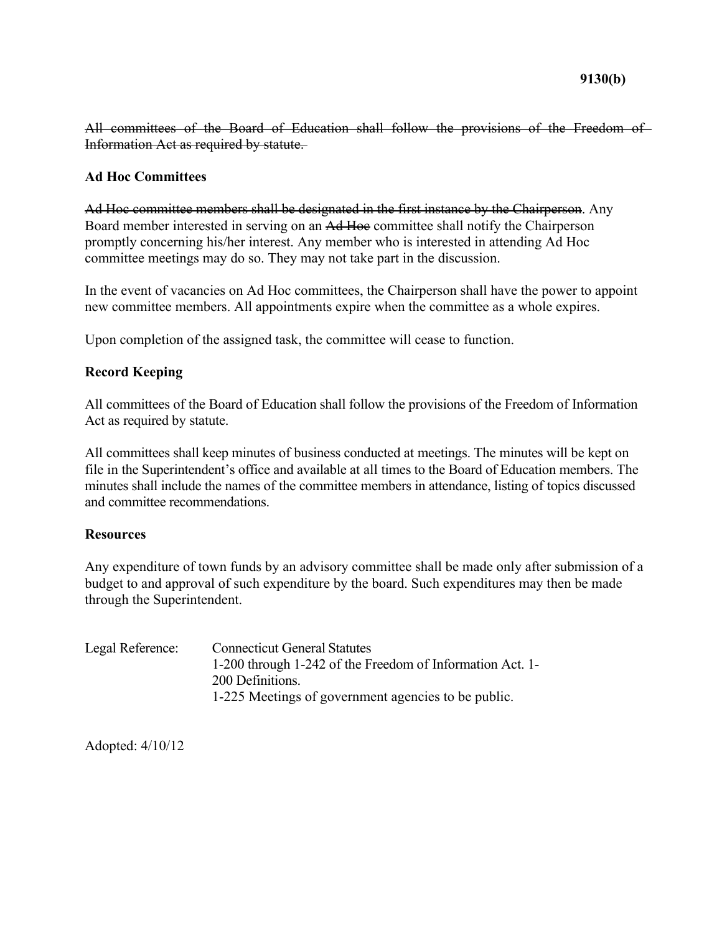All committees of the Board of Education shall follow the provisions of the Freedom of Information Act as required by statute.

### **Ad Hoc Committees**

Ad Hoc committee members shall be designated in the first instance by the Chairperson. Any Board member interested in serving on an Ad Hoc committee shall notify the Chairperson promptly concerning his/her interest. Any member who is interested in attending Ad Hoc committee meetings may do so. They may not take part in the discussion.

In the event of vacancies on Ad Hoc committees, the Chairperson shall have the power to appoint new committee members. All appointments expire when the committee as a whole expires.

Upon completion of the assigned task, the committee will cease to function.

### **Record Keeping**

All committees of the Board of Education shall follow the provisions of the Freedom of Information Act as required by statute.

All committees shall keep minutes of business conducted at meetings. The minutes will be kept on file in the Superintendent's office and available at all times to the Board of Education members. The minutes shall include the names of the committee members in attendance, listing of topics discussed and committee recommendations.

### **Resources**

Any expenditure of town funds by an advisory committee shall be made only after submission of a budget to and approval of such expenditure by the board. Such expenditures may then be made through the Superintendent.

| Legal Reference: | <b>Connecticut General Statutes</b>                       |
|------------------|-----------------------------------------------------------|
|                  | 1-200 through 1-242 of the Freedom of Information Act. 1- |
|                  | 200 Definitions.                                          |
|                  | 1-225 Meetings of government agencies to be public.       |

Adopted: 4/10/12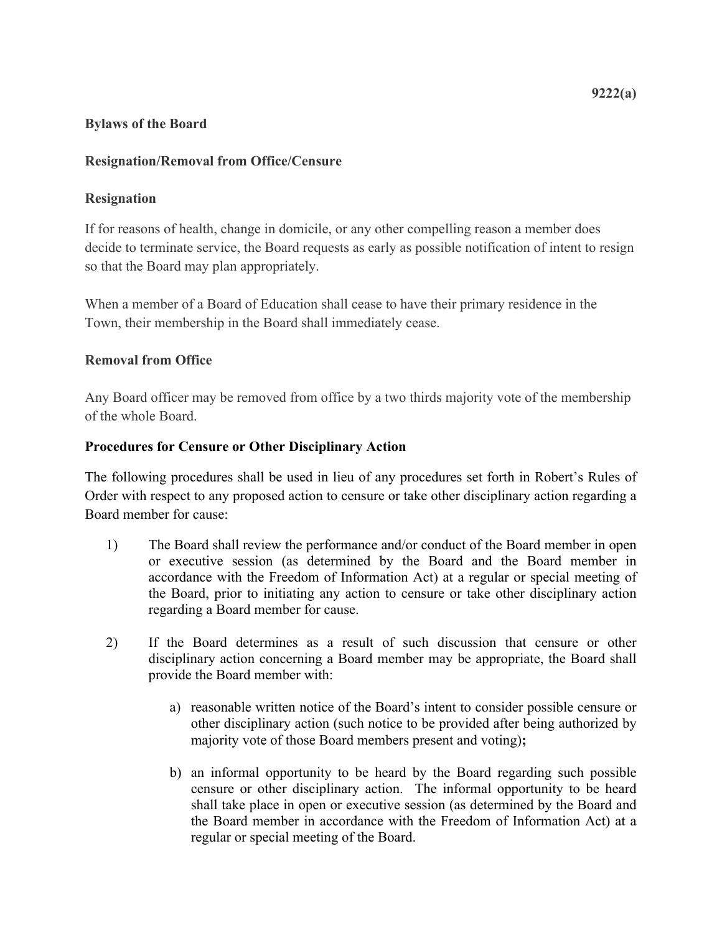### **Bylaws of the Board**

### **Resignation/Removal from Office/Censure**

### **Resignation**

If for reasons of health, change in domicile, or any other compelling reason a member does decide to terminate service, the Board requests as early as possible notification of intent to resign so that the Board may plan appropriately.

When a member of a Board of Education shall cease to have their primary residence in the Town, their membership in the Board shall immediately cease.

### **Removal from Office**

Any Board officer may be removed from office by a two thirds majority vote of the membership of the whole Board.

### **Procedures for Censure or Other Disciplinary Action**

The following procedures shall be used in lieu of any procedures set forth in Robert's Rules of Order with respect to any proposed action to censure or take other disciplinary action regarding a Board member for cause:

- 1) The Board shall review the performance and/or conduct of the Board member in open or executive session (as determined by the Board and the Board member in accordance with the Freedom of Information Act) at a regular or special meeting of the Board, prior to initiating any action to censure or take other disciplinary action regarding a Board member for cause.
- 2) If the Board determines as a result of such discussion that censure or other disciplinary action concerning a Board member may be appropriate, the Board shall provide the Board member with:
	- a) reasonable written notice of the Board's intent to consider possible censure or other disciplinary action (such notice to be provided after being authorized by majority vote of those Board members present and voting)**;**
	- b) an informal opportunity to be heard by the Board regarding such possible censure or other disciplinary action. The informal opportunity to be heard shall take place in open or executive session (as determined by the Board and the Board member in accordance with the Freedom of Information Act) at a regular or special meeting of the Board.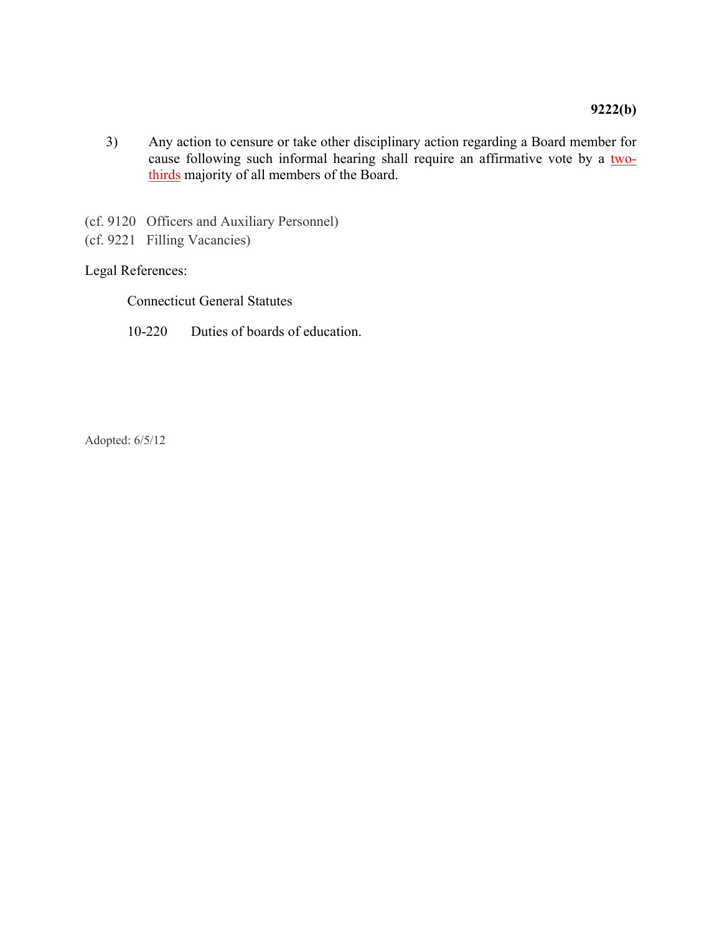- 3) Any action to censure or take other disciplinary action regarding a Board member for cause following such informal hearing shall require an affirmative vote by a twothirds majority of all members of the Board.
- (cf. 9120 Officers and Auxiliary Personnel)
- (cf. 9221 Filling Vacancies)

### Legal References:

Connecticut General Statutes

10-220 Duties of boards of education.

Adopted: 6/5/12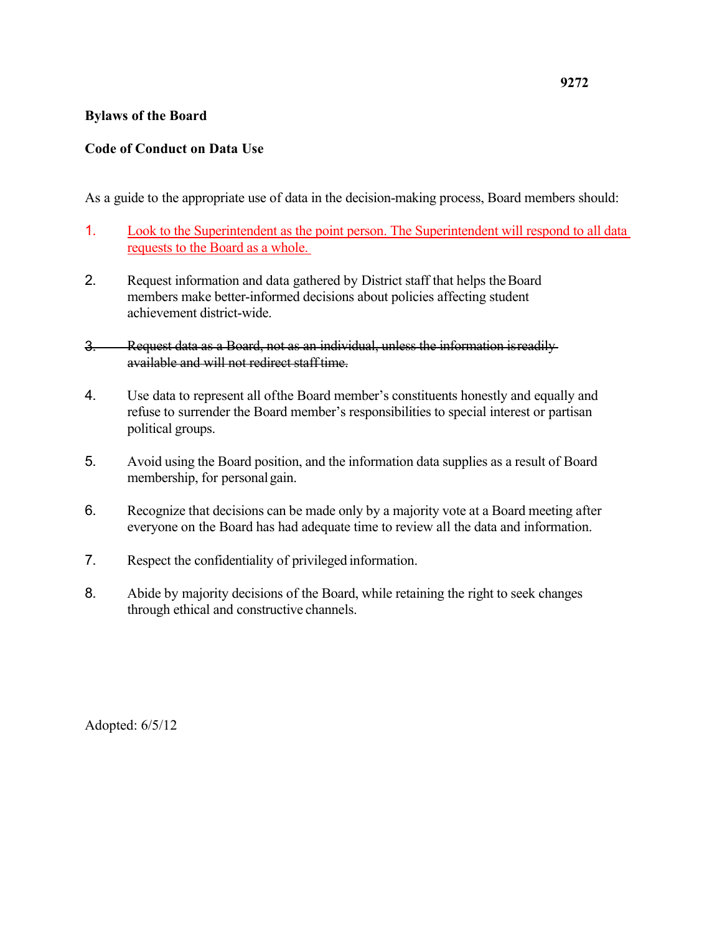### **Bylaws of the Board**

## **Code of Conduct on Data Use**

As a guide to the appropriate use of data in the decision-making process, Board members should:

- 1. Look to the Superintendent as the point person. The Superintendent will respond to all data requests to the Board as a whole.
- 2. Request information and data gathered by District staff that helps the Board members make better-informed decisions about policies affecting student achievement district-wide.
- 3. Request data as a Board, not as an individual, unless the information isreadily available and will not redirect stafftime.
- 4. Use data to represent all ofthe Board member's constituents honestly and equally and refuse to surrender the Board member's responsibilities to special interest or partisan political groups.
- 5. Avoid using the Board position, and the information data supplies as a result of Board membership, for personal gain.
- 6. Recognize that decisions can be made only by a majority vote at a Board meeting after everyone on the Board has had adequate time to review all the data and information.
- 7. Respect the confidentiality of privileged information.
- 8. Abide by majority decisions of the Board, while retaining the right to seek changes through ethical and constructive channels.

Adopted: 6/5/12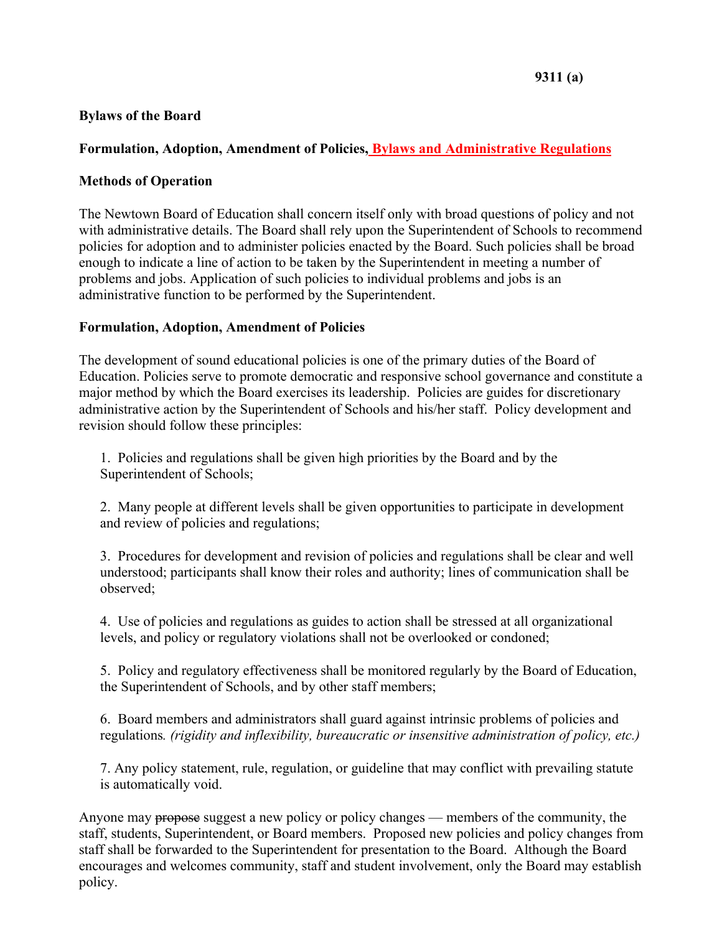### **Bylaws of the Board**

## **Formulation, Adoption, Amendment of Policies, Bylaws and Administrative Regulations**

## **Methods of Operation**

The Newtown Board of Education shall concern itself only with broad questions of policy and not with administrative details. The Board shall rely upon the Superintendent of Schools to recommend policies for adoption and to administer policies enacted by the Board. Such policies shall be broad enough to indicate a line of action to be taken by the Superintendent in meeting a number of problems and jobs. Application of such policies to individual problems and jobs is an administrative function to be performed by the Superintendent.

## **Formulation, Adoption, Amendment of Policies**

The development of sound educational policies is one of the primary duties of the Board of Education. Policies serve to promote democratic and responsive school governance and constitute a major method by which the Board exercises its leadership. Policies are guides for discretionary administrative action by the Superintendent of Schools and his/her staff. Policy development and revision should follow these principles:

1. Policies and regulations shall be given high priorities by the Board and by the Superintendent of Schools;

2. Many people at different levels shall be given opportunities to participate in development and review of policies and regulations;

3. Procedures for development and revision of policies and regulations shall be clear and well understood; participants shall know their roles and authority; lines of communication shall be observed;

4. Use of policies and regulations as guides to action shall be stressed at all organizational levels, and policy or regulatory violations shall not be overlooked or condoned;

5. Policy and regulatory effectiveness shall be monitored regularly by the Board of Education, the Superintendent of Schools, and by other staff members;

6. Board members and administrators shall guard against intrinsic problems of policies and regulations*. (rigidity and inflexibility, bureaucratic or insensitive administration of policy, etc.)*

7. Any policy statement, rule, regulation, or guideline that may conflict with prevailing statute is automatically void.

Anyone may propose suggest a new policy or policy changes — members of the community, the staff, students, Superintendent, or Board members. Proposed new policies and policy changes from staff shall be forwarded to the Superintendent for presentation to the Board. Although the Board encourages and welcomes community, staff and student involvement, only the Board may establish policy.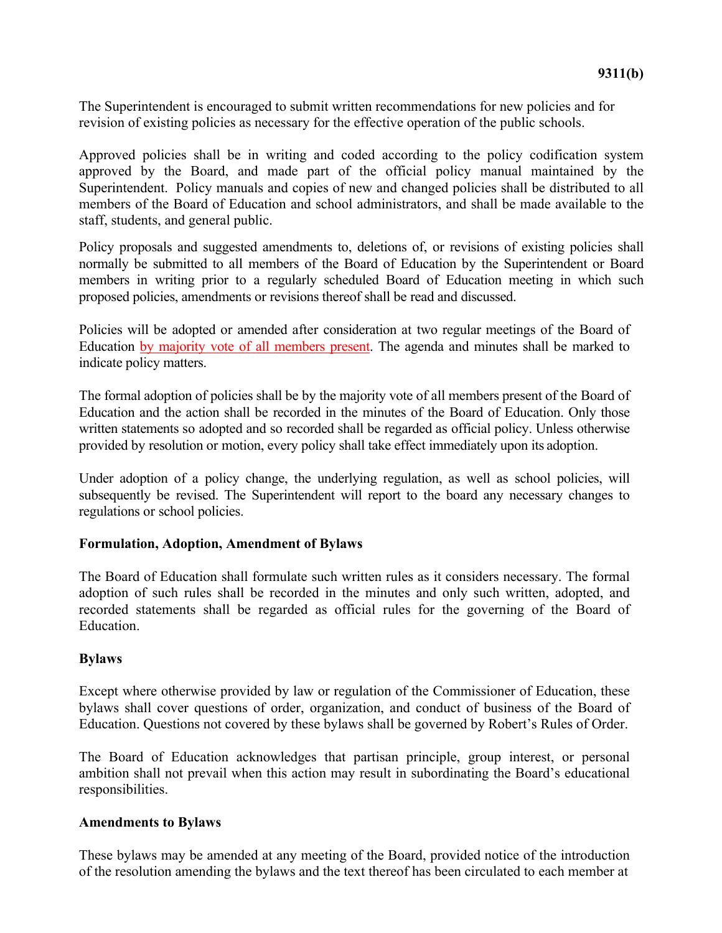The Superintendent is encouraged to submit written recommendations for new policies and for revision of existing policies as necessary for the effective operation of the public schools.

Approved policies shall be in writing and coded according to the policy codification system approved by the Board, and made part of the official policy manual maintained by the Superintendent. Policy manuals and copies of new and changed policies shall be distributed to all members of the Board of Education and school administrators, and shall be made available to the staff, students, and general public.

Policy proposals and suggested amendments to, deletions of, or revisions of existing policies shall normally be submitted to all members of the Board of Education by the Superintendent or Board members in writing prior to a regularly scheduled Board of Education meeting in which such proposed policies, amendments or revisions thereof shall be read and discussed.

Policies will be adopted or amended after consideration at two regular meetings of the Board of Education by majority vote of all members present. The agenda and minutes shall be marked to indicate policy matters.

The formal adoption of policies shall be by the majority vote of all members present of the Board of Education and the action shall be recorded in the minutes of the Board of Education. Only those written statements so adopted and so recorded shall be regarded as official policy. Unless otherwise provided by resolution or motion, every policy shall take effect immediately upon its adoption.

Under adoption of a policy change, the underlying regulation, as well as school policies, will subsequently be revised. The Superintendent will report to the board any necessary changes to regulations or school policies.

### **Formulation, Adoption, Amendment of Bylaws**

The Board of Education shall formulate such written rules as it considers necessary. The formal adoption of such rules shall be recorded in the minutes and only such written, adopted, and recorded statements shall be regarded as official rules for the governing of the Board of **Education** 

#### **Bylaws**

Except where otherwise provided by law or regulation of the Commissioner of Education, these bylaws shall cover questions of order, organization, and conduct of business of the Board of Education. Questions not covered by these bylaws shall be governed by Robert's Rules of Order.

The Board of Education acknowledges that partisan principle, group interest, or personal ambition shall not prevail when this action may result in subordinating the Board's educational responsibilities.

### **Amendments to Bylaws**

These bylaws may be amended at any meeting of the Board, provided notice of the introduction of the resolution amending the bylaws and the text thereof has been circulated to each member at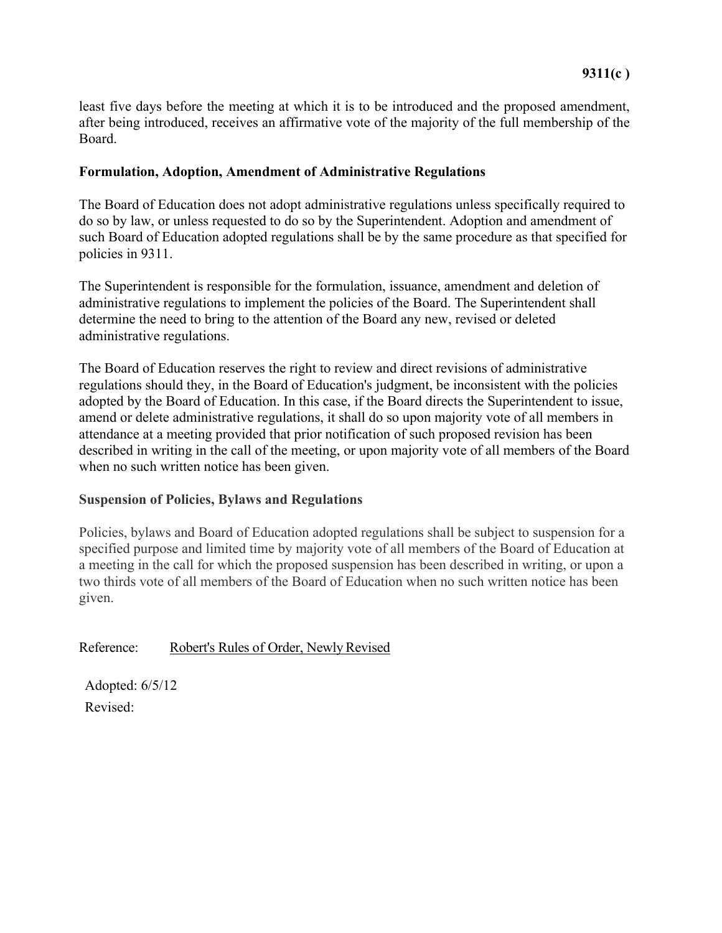least five days before the meeting at which it is to be introduced and the proposed amendment, after being introduced, receives an affirmative vote of the majority of the full membership of the Board.

### **Formulation, Adoption, Amendment of Administrative Regulations**

The Board of Education does not adopt administrative regulations unless specifically required to do so by law, or unless requested to do so by the Superintendent. Adoption and amendment of such Board of Education adopted regulations shall be by the same procedure as that specified for policies in 9311.

The Superintendent is responsible for the formulation, issuance, amendment and deletion of administrative regulations to implement the policies of the Board. The Superintendent shall determine the need to bring to the attention of the Board any new, revised or deleted administrative regulations.

The Board of Education reserves the right to review and direct revisions of administrative regulations should they, in the Board of Education's judgment, be inconsistent with the policies adopted by the Board of Education. In this case, if the Board directs the Superintendent to issue, amend or delete administrative regulations, it shall do so upon majority vote of all members in attendance at a meeting provided that prior notification of such proposed revision has been described in writing in the call of the meeting, or upon majority vote of all members of the Board when no such written notice has been given.

### **Suspension of Policies, Bylaws and Regulations**

Policies, bylaws and Board of Education adopted regulations shall be subject to suspension for a specified purpose and limited time by majority vote of all members of the Board of Education at a meeting in the call for which the proposed suspension has been described in writing, or upon a two thirds vote of all members of the Board of Education when no such written notice has been given.

Reference: Robert's Rules of Order, Newly Revised

Adopted: 6/5/12 Revised: